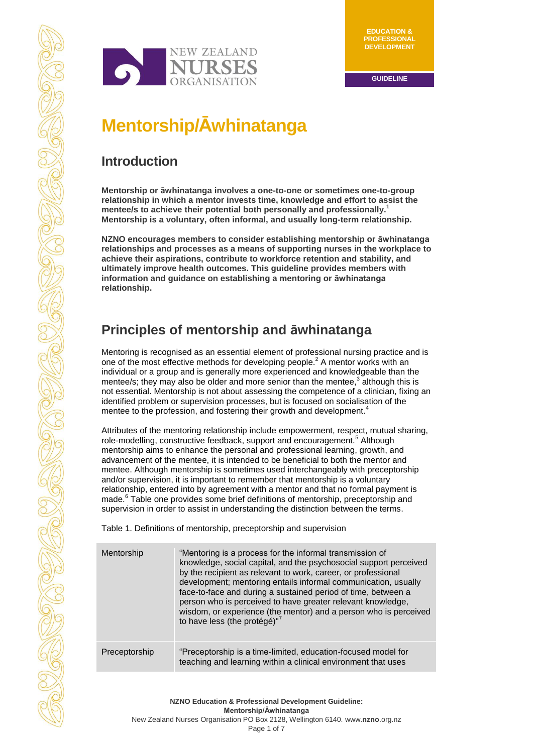

# **Mentorship/Āwhinatanga**

# **Introduction**

**Mentorship or āwhinatanga involves a one-to-one or sometimes one-to-group relationship in which a mentor invests time, knowledge and effort to assist the mentee/s to achieve their potential both personally and professionally. 1 Mentorship is a voluntary, often informal, and usually long-term relationship.** 

**NZNO encourages members to consider establishing mentorship or āwhinatanga relationships and processes as a means of supporting nurses in the workplace to achieve their aspirations, contribute to workforce retention and stability, and ultimately improve health outcomes. This guideline provides members with information and guidance on establishing a mentoring or āwhinatanga relationship.**

# **Principles of mentorship and āwhinatanga**

Mentoring is recognised as an essential element of professional nursing practice and is one of the most effective methods for developing people.<sup>2</sup> A mentor works with an individual or a group and is generally more experienced and knowledgeable than the mentee/s; they may also be older and more senior than the mentee, $3$  although this is not essential. Mentorship is not about assessing the competence of a clinician, fixing an identified problem or supervision processes, but is focused on socialisation of the mentee to the profession, and fostering their growth and development.

Attributes of the mentoring relationship include empowerment, respect, mutual sharing, role-modelling, constructive feedback, support and encouragement.<sup>5</sup> Although mentorship aims to enhance the personal and professional learning, growth, and advancement of the mentee, it is intended to be beneficial to both the mentor and mentee. Although mentorship is sometimes used interchangeably with preceptorship and/or supervision, it is important to remember that mentorship is a voluntary relationship, entered into by agreement with a mentor and that no formal payment is made.<sup>6</sup> Table one provides some brief definitions of mentorship, preceptorship and supervision in order to assist in understanding the distinction between the terms.

Table 1. Definitions of mentorship, preceptorship and supervision

| Mentorship    | "Mentoring is a process for the informal transmission of<br>knowledge, social capital, and the psychosocial support perceived<br>by the recipient as relevant to work, career, or professional<br>development; mentoring entails informal communication, usually<br>face-to-face and during a sustained period of time, between a<br>person who is perceived to have greater relevant knowledge,<br>wisdom, or experience (the mentor) and a person who is perceived<br>to have less (the protégé)"7 |
|---------------|------------------------------------------------------------------------------------------------------------------------------------------------------------------------------------------------------------------------------------------------------------------------------------------------------------------------------------------------------------------------------------------------------------------------------------------------------------------------------------------------------|
| Preceptorship | "Preceptorship is a time-limited, education-focused model for<br>teaching and learning within a clinical environment that uses                                                                                                                                                                                                                                                                                                                                                                       |

**NZNO Education & Professional Development Guideline: Mentorship/Āwhinatanga**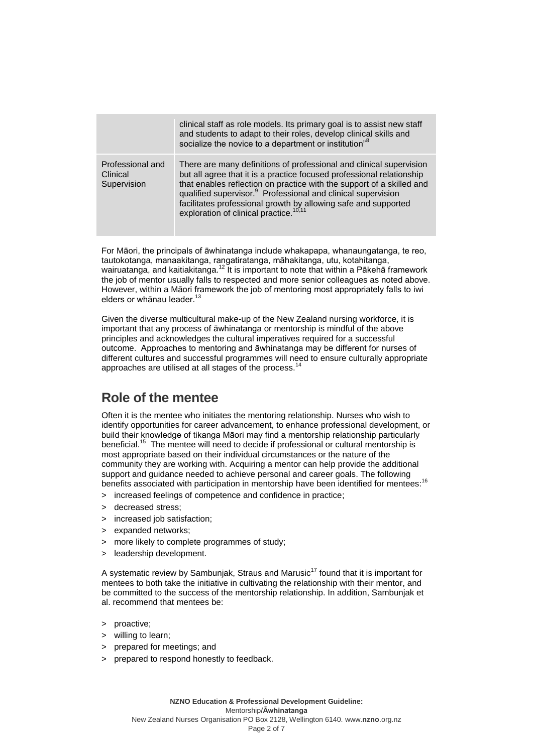|                                             | clinical staff as role models. Its primary goal is to assist new staff<br>and students to adapt to their roles, develop clinical skills and<br>socialize the novice to a department or institution" <sup>8</sup>                                                                                                                                                                                                          |
|---------------------------------------------|---------------------------------------------------------------------------------------------------------------------------------------------------------------------------------------------------------------------------------------------------------------------------------------------------------------------------------------------------------------------------------------------------------------------------|
| Professional and<br>Clinical<br>Supervision | There are many definitions of professional and clinical supervision<br>but all agree that it is a practice focused professional relationship<br>that enables reflection on practice with the support of a skilled and<br>qualified supervisor. <sup>9</sup> Professional and clinical supervision<br>facilitates professional growth by allowing safe and supported<br>exploration of clinical practice. <sup>10,11</sup> |

For Māori, the principals of āwhinatanga include whakapapa, whanaungatanga, te reo, tautokotanga, manaakitanga, rangatiratanga, māhakitanga, utu, kotahitanga, wairuatanga, and kaitiakitanga.<sup>12</sup> It is important to note that within a Pākehā framework the job of mentor usually falls to respected and more senior colleagues as noted above. However, within a Māori framework the job of mentoring most appropriately falls to iwi elders or whānau leader.<sup>13</sup>

Given the diverse multicultural make-up of the New Zealand nursing workforce, it is important that any process of āwhinatanga or mentorship is mindful of the above principles and acknowledges the cultural imperatives required for a successful outcome. Approaches to mentoring and āwhinatanga may be different for nurses of different cultures and successful programmes will need to ensure culturally appropriate approaches are utilised at all stages of the process.<sup>14</sup>

### **Role of the mentee**

Often it is the mentee who initiates the mentoring relationship. Nurses who wish to identify opportunities for career advancement, to enhance professional development, or build their knowledge of tikanga Māori may find a mentorship relationship particularly beneficial.<sup>15</sup> The mentee will need to decide if professional or cultural mentorship is most appropriate based on their individual circumstances or the nature of the community they are working with. Acquiring a mentor can help provide the additional support and guidance needed to achieve personal and career goals. The following benefits associated with participation in mentorship have been identified for mentees:<sup>16</sup>

- > increased feelings of competence and confidence in practice;
- > decreased stress;
- > increased job satisfaction;
- > expanded networks;
- > more likely to complete programmes of study;
- > leadership development.

A systematic review by Sambunjak, Straus and Marusic<sup>17</sup> found that it is important for mentees to both take the initiative in cultivating the relationship with their mentor, and be committed to the success of the mentorship relationship. In addition, Sambunjak et al. recommend that mentees be:

- > proactive;
- > willing to learn;
- > prepared for meetings; and
- > prepared to respond honestly to feedback.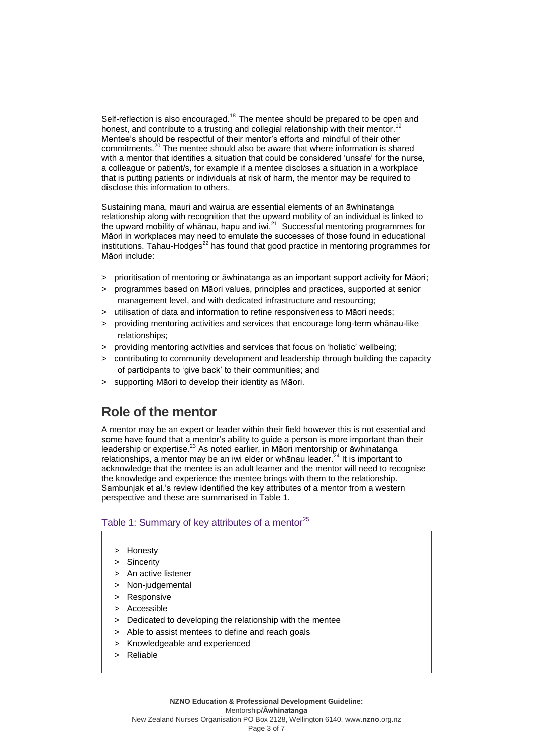Self-reflection is also encouraged.<sup>18</sup> The mentee should be prepared to be open and honest, and contribute to a trusting and collegial relationship with their mentor.<sup>19</sup> Mentee's should be respectful of their mentor's efforts and mindful of their other commitments.<sup>20</sup> The mentee should also be aware that where information is shared with a mentor that identifies a situation that could be considered 'unsafe' for the nurse, a colleague or patient/s, for example if a mentee discloses a situation in a workplace that is putting patients or individuals at risk of harm, the mentor may be required to disclose this information to others.

Sustaining mana, mauri and wairua are essential elements of an āwhinatanga relationship along with recognition that the upward mobility of an individual is linked to the upward mobility of whānau, hapu and iwi. $^{21}$  Successful mentoring programmes for Māori in workplaces may need to emulate the successes of those found in educational institutions. Tahau-Hodges<sup>22</sup> has found that good practice in mentoring programmes for Māori include:

- > prioritisation of mentoring or āwhinatanga as an important support activity for Māori;
- > programmes based on Māori values, principles and practices, supported at senior management level, and with dedicated infrastructure and resourcing;
- > utilisation of data and information to refine responsiveness to Māori needs;
- > providing mentoring activities and services that encourage long-term whānau-like relationships;
- > providing mentoring activities and services that focus on 'holistic' wellbeing;
- > contributing to community development and leadership through building the capacity of participants to 'give back' to their communities; and
- > supporting Māori to develop their identity as Māori.

### **Role of the mentor**

A mentor may be an expert or leader within their field however this is not essential and some have found that a mentor's ability to guide a person is more important than their leadership or expertise. $^{23}$  As noted earlier, in Māori mentorship or āwhinatanga relationships, a mentor may be an iwi elder or whanau leader. $^{24}$  It is important to acknowledge that the mentee is an adult learner and the mentor will need to recognise the knowledge and experience the mentee brings with them to the relationship. Sambunjak et al.'s review identified the key attributes of a mentor from a western perspective and these are summarised in Table 1.

#### Table 1: Summary of key attributes of a mentor<sup>25</sup>

- > Honesty
- > Sincerity
- > An active listener
- > Non-judgemental
- > Responsive
- > Accessible
- > Dedicated to developing the relationship with the mentee
- > Able to assist mentees to define and reach goals
- > Knowledgeable and experienced
- > Reliable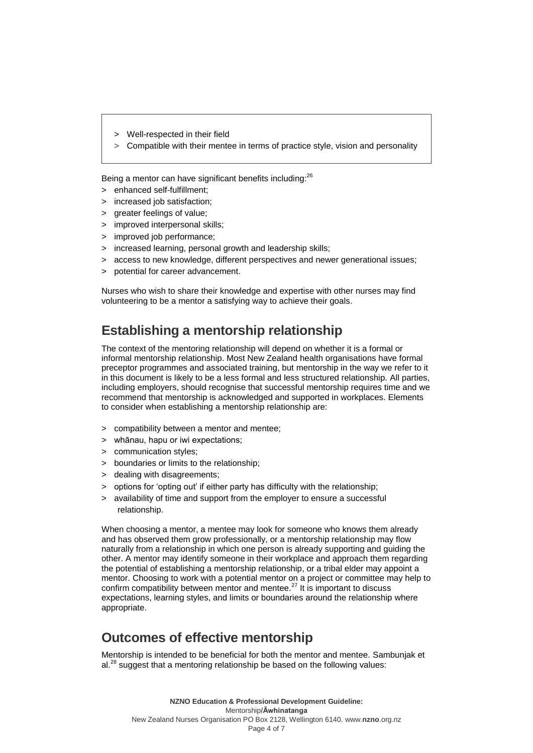- > Well-respected in their field
- > Compatible with their mentee in terms of practice style, vision and personality

Being a mentor can have significant benefits including:<sup>26</sup>

- > enhanced self-fulfillment;
- > increased job satisfaction;
- > greater feelings of value;
- > improved interpersonal skills;
- > improved job performance;
- > increased learning, personal growth and leadership skills;
- > access to new knowledge, different perspectives and newer generational issues;
- > potential for career advancement.

Nurses who wish to share their knowledge and expertise with other nurses may find volunteering to be a mentor a satisfying way to achieve their goals.

# **Establishing a mentorship relationship**

The context of the mentoring relationship will depend on whether it is a formal or informal mentorship relationship. Most New Zealand health organisations have formal preceptor programmes and associated training, but mentorship in the way we refer to it in this document is likely to be a less formal and less structured relationship. All parties, including employers, should recognise that successful mentorship requires time and we recommend that mentorship is acknowledged and supported in workplaces. Elements to consider when establishing a mentorship relationship are:

- > compatibility between a mentor and mentee;
- > whānau, hapu or iwi expectations;
- > communication styles;
- > boundaries or limits to the relationship;
- > dealing with disagreements;
- > options for 'opting out' if either party has difficulty with the relationship;
- > availability of time and support from the employer to ensure a successful relationship.

When choosing a mentor, a mentee may look for someone who knows them already and has observed them grow professionally, or a mentorship relationship may flow naturally from a relationship in which one person is already supporting and guiding the other. A mentor may identify someone in their workplace and approach them regarding the potential of establishing a mentorship relationship, or a tribal elder may appoint a mentor. Choosing to work with a potential mentor on a project or committee may help to confirm compatibility between mentor and mentee. $^{27}$  It is important to discuss expectations, learning styles, and limits or boundaries around the relationship where appropriate.

## **Outcomes of effective mentorship**

Mentorship is intended to be beneficial for both the mentor and mentee. Sambunjak et  $al.<sup>28</sup>$  suggest that a mentoring relationship be based on the following values: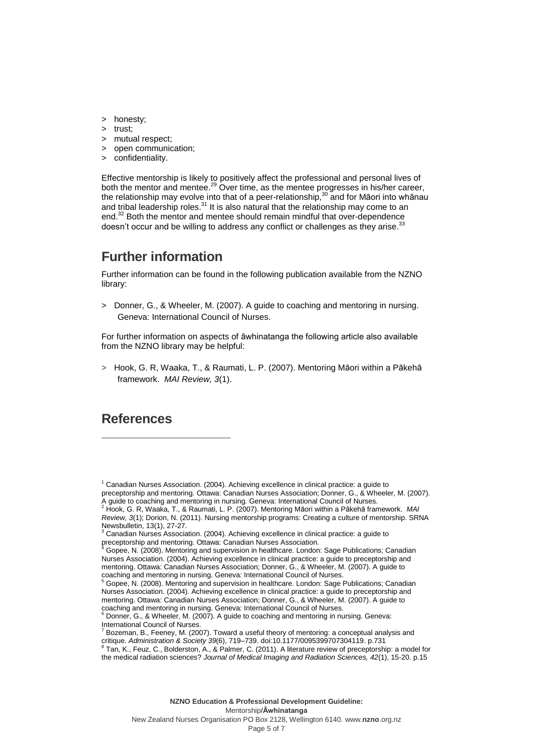- > honesty;
- > trust;
- > mutual respect;
- > open communication;
- > confidentiality.

Effective mentorship is likely to positively affect the professional and personal lives of both the mentor and mentee.<sup>29</sup> Over time, as the mentee progresses in his/her career, the relationship may evolve into that of a peer-relationship,<sup>30</sup> and for Māori into whānau and tribal leadership roles. $31$  It is also natural that the relationship may come to an end. <sup>32</sup> Both the mentor and mentee should remain mindful that over-dependence doesn't occur and be willing to address any conflict or challenges as they arise.<sup>33</sup>

### **Further information**

Further information can be found in the following publication available from the NZNO library:

> Donner, G., & Wheeler, M. (2007). A guide to coaching and mentoring in nursing. Geneva: International Council of Nurses.

For further information on aspects of āwhinatanga the following article also available from the NZNO library may be helpful:

> Hook, G. R, Waaka, T., & Raumati, L. P. (2007). Mentoring Māori within a Pākehā framework. *MAI Review, 3*(1).

#### **References**

 $\overline{a}$ 

 $1$  Canadian Nurses Association. (2004). Achieving excellence in clinical practice: a guide to preceptorship and mentoring. Ottawa: Canadian Nurses Association; Donner, G., & Wheeler, M. (2007).

A guide to coaching and mentoring in nursing. Geneva: International Council of Nurses. <sup>2</sup> Hook, G. R, Waaka, T., & Raumati, L. P. (2007). Mentoring Māori within a Pākehā framework. *MAI Review, 3*(1); Dorion, N. (2011). Nursing mentorship programs: Creating a culture of mentorship. SRNA Newsbulletin, 13(1), 27-27.

<sup>3</sup> Canadian Nurses Association. (2004). Achieving excellence in clinical practice: a guide to preceptorship and mentoring. Ottawa: Canadian Nurses Association.

<sup>4</sup> Gopee, N. (2008). Mentoring and supervision in healthcare. London: Sage Publications; Canadian Nurses Association. (2004). Achieving excellence in clinical practice: a guide to preceptorship and mentoring. Ottawa: Canadian Nurses Association; Donner, G., & Wheeler, M. (2007). A guide to coaching and mentoring in nursing. Geneva: International Council of Nurses.

 $\overline{5}$  Gopee, N. (2008). Mentoring and supervision in healthcare. London: Sage Publications; Canadian Nurses Association. (2004). Achieving excellence in clinical practice: a guide to preceptorship and mentoring. Ottawa: Canadian Nurses Association; Donner, G., & Wheeler, M. (2007). A guide to coaching and mentoring in nursing. Geneva: International Council of Nurses.<br><sup>6</sup> Donner, G., & Wheeler, M. (2007). A guide to coaching and mentoring in nursing. Geneva:

International Council of Nurses.

<sup>7</sup> Bozeman, B., Feeney, M. (2007)[. Toward a useful theory of mentoring: a conceptual analysis and](http://aas.sagepub.com/cgi/content/abstract/39/6/719)  [critique.](http://aas.sagepub.com/cgi/content/abstract/39/6/719) *Administration & Society 39*(6), 719–739[. doi](http://en.wikipedia.org/wiki/Digital_object_identifier)[:10.1177/0095399707304119.](http://dx.doi.org/10.1177%2F0095399707304119) p.731<br><sup>8</sup> Tan, K., Feuz, C., Bolderston, A., & Palmer, C. (2011). A literature review of preceptorship: a model for

the medical radiation sciences? *Journal of Medical Imaging and Radiation Sciences, 42*(1), 15-20. p.15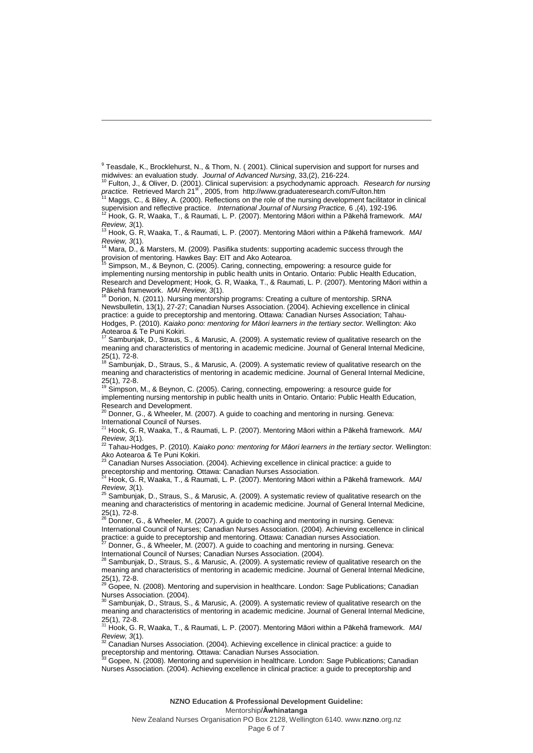$\overline{a}$ 

midwives: an evaluation study. *Journal of Advanced Nursing*, 33,(2), 216-224. <sup>10</sup> Fulton, J., & Oliver, D. (2001). Clinical supervision: a psychodynamic approach. *Research for nursing*  practice. Retrieved March 21<sup>st</sup>, 2005, from http://www.graduateresearch.com/Fulton.htm

 $11$  Maggs, C., & Biley, A. (2000). Reflections on the role of the nursing development facilitator in clinical supervision and reflective practice. *International Journal of Nursing Practice*, 6, (4), 192-196.<br><sup>12</sup> Hook C. D. Westles T. and reflective practice. *International Journal of Nursing Practice*, 6, (4), 192-196.

<sup>12</sup> Hook, G. R, Waaka, T., & Raumati, L. P. (2007). Mentoring Māori within a Pākehā framework. *MAI* 

*Review, 3*(1). <sup>13</sup> Hook, G. R, Waaka, T., & Raumati, L. P. (2007). Mentoring Māori within a Pākehā framework. *MAI Review, 3*(1).

<sup>14</sup> Mara, D., & Marsters, M. (2009). Pasifika students: supporting academic success through the provision of mentoring. Hawkes Bay: EIT and Ako Aotearoa.

<sup>15</sup> Simpson, M., & Beynon, C. (2005). Caring, connecting, empowering: a resource guide for implementing nursing mentorship in public health units in Ontario. Ontario: Public Health Education, Research and Development; Hook, G. R, Waaka, T., & Raumati, L. P. (2007). Mentoring Māori within a Pākehā framework. *MAI Review, 3*(1). <sup>16</sup> Dorion, N. (2011). Nursing mentorship programs: Creating a culture of mentorship. SRNA

Newsbulletin, 13(1), 27-27; Canadian Nurses Association. (2004). Achieving excellence in clinical practice: a guide to preceptorship and mentoring. Ottawa: Canadian Nurses Association; Tahau-Hodges, P. (2010). *Kaiako pono: mentoring for Māori learners in the tertiary sector.* Wellington: Ako  $Aotearoa$  & Te Puni Kokiri.

Sambunjak, D., Straus, S., & Marusic, A. (2009). A systematic review of qualitative research on the meaning and characteristics of mentoring in academic medicine. Journal of General Internal Medicine, 25(1), 72-8.<br><sup>18</sup> Sambunjak, D., Straus, S., & Marusic, A. (2009). A systematic review of qualitative research on the

meaning and characteristics of mentoring in academic medicine. Journal of General Internal Medicine,  $25(1), 72-8.$ <sup>19</sup> Simpson

Simpson, M., & Beynon, C. (2005). Caring, connecting, empowering: a resource guide for implementing nursing mentorship in public health units in Ontario. Ontario: Public Health Education,

Research and Development.<br><sup>20</sup> Donner, G., & Wheeler, M. (2007). A guide to coaching and mentoring in nursing. Geneva: International Council of Nurses.

<sup>21</sup> Hook, G. R, Waaka, T., & Raumati, L. P. (2007). Mentoring Māori within a Pākehā framework. *MAI Review, 3*(1).

<sup>22</sup> Tahau-Hodges, P. (2010). *Kaiako pono: mentoring for Māori learners in the tertiary sector.* Wellington: Ako Aotearoa & Te Puni Kokiri.<br><sup>23</sup> Canadian Music <sup>23</sup>

Canadian Nurses Association. (2004). Achieving excellence in clinical practice: a guide to preceptorship and mentoring. Ottawa: Canadian Nurses Association.

<sup>24</sup> Hook, G. R, Waaka, T., & Raumati, L. P. (2007). Mentoring Māori within a Pākehā framework. *MAI* 

*Review, 3*(1).<br><sup>25</sup> Sambunjak, D., Straus, S., & Marusic, A. (2009). A systematic review of qualitative research on the meaning and characteristics of mentoring in academic medicine. Journal of General Internal Medicine, 25(1), 72-8.<br><sup>26</sup> Donner, G., & Wheeler, M. (2007). A guide to coaching and mentoring in nursing. Geneva:

International Council of Nurses; Canadian Nurses Association. (2004). Achieving excellence in clinical practice: a guide to preceptorship and mentoring. Ottawa: Canadian nurses Association.<br><sup>27</sup> Dennes Association.<br><sup>27</sup> Dennes Association.

Donner, G., & Wheeler, M. (2007). A guide to coaching and mentoring in nursing. Geneva:

International Council of Nurses; Canadian Nurses Association. (2004).<br><sup>28</sup> Sembuniak, D., Straus, S., & Marygia, A. (2000). A systematic revise

Sambunjak, D., Straus, S., & Marusic, A. (2009). A systematic review of qualitative research on the meaning and characteristics of mentoring in academic medicine. Journal of General Internal Medicine,  $25(1)$ , 72-8.

<sup>29</sup> Gopee, N. (2008). Mentoring and supervision in healthcare. London: Sage Publications; Canadian Nurses Association. (2004).

Sambunjak, D., Straus, S., & Marusic, A. (2009). A systematic review of qualitative research on the meaning and characteristics of mentoring in academic medicine. Journal of General Internal Medicine,

25(1), 72-8. <sup>31</sup> Hook, G. R, Waaka, T., & Raumati, L. P. (2007). Mentoring Māori within a Pākehā framework. *MAI Review, 3*(1).

Canadian Nurses Association. (2004). Achieving excellence in clinical practice: a guide to

preceptorship and mentoring. Ottawa: Canadian Nurses Association.<br><sup>33</sup> Gopee, N. (2008). Mentoring and supervision in healthcare. London: Sage Publications; Canadian Nurses Association. (2004). Achieving excellence in clinical practice: a guide to preceptorship and

Mentorship**/Āwhinatanga**

New Zealand Nurses Organisation PO Box 2128, Wellington 6140. www.**nzno**.org.nz Page 6 of 7

<sup>&</sup>lt;sup>9</sup> Teasdale, K., Brocklehurst, N., & Thom, N. ( 2001). Clinical supervision and support for nurses and